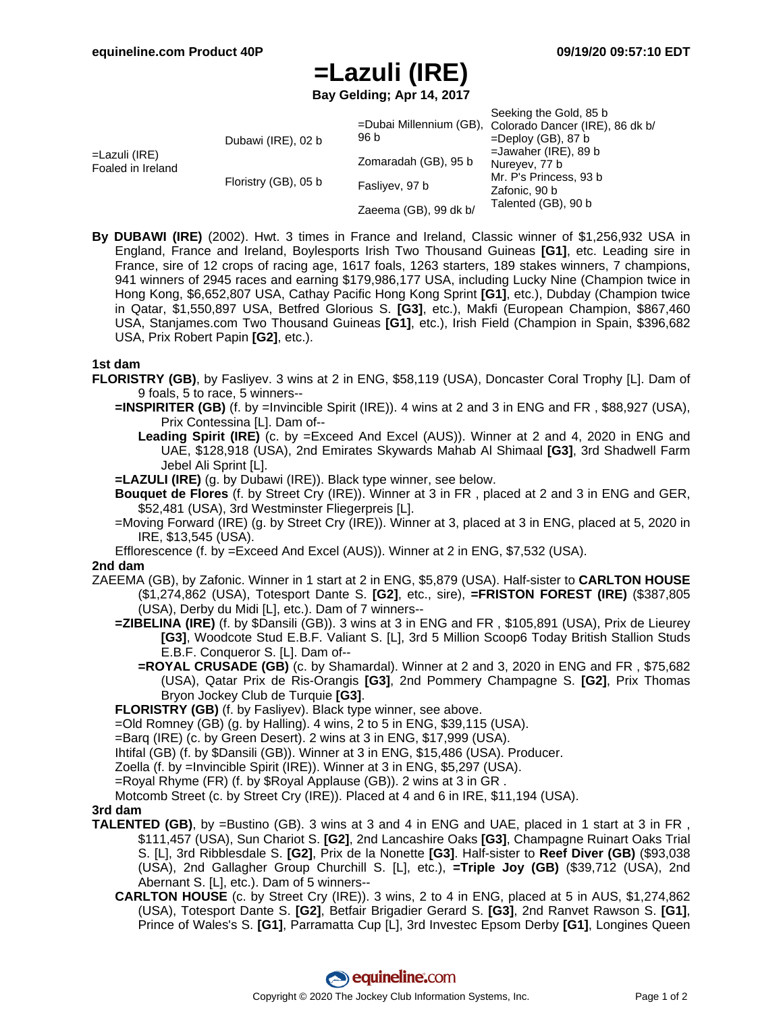# **=Lazuli (IRE)**

**Bay Gelding; Apr 14, 2017**

| =Lazuli (IRE)<br>Foaled in Ireland | Dubawi (IRE), 02 b<br>Floristry (GB), 05 b | 96 b<br>Zomaradah (GB), 95 b<br>Fasliyev, 97 b | Seeking the Gold, 85 b<br>=Dubai Millennium (GB), Colorado Dancer (IRE), 86 dk b/<br>$=$ Deploy (GB), 87 b<br>$=$ Jawaher (IRE), 89 b<br>Nureyev, 77 b<br>Mr. P's Princess, 93 b<br>Zafonic, 90 b |
|------------------------------------|--------------------------------------------|------------------------------------------------|---------------------------------------------------------------------------------------------------------------------------------------------------------------------------------------------------|
|                                    |                                            | Zaeema (GB), 99 dk b/                          | Talented (GB), 90 b                                                                                                                                                                               |

**By DUBAWI (IRE)** (2002). Hwt. 3 times in France and Ireland, Classic winner of \$1,256,932 USA in England, France and Ireland, Boylesports Irish Two Thousand Guineas **[G1]**, etc. Leading sire in France, sire of 12 crops of racing age, 1617 foals, 1263 starters, 189 stakes winners, 7 champions, 941 winners of 2945 races and earning \$179,986,177 USA, including Lucky Nine (Champion twice in Hong Kong, \$6,652,807 USA, Cathay Pacific Hong Kong Sprint **[G1]**, etc.), Dubday (Champion twice in Qatar, \$1,550,897 USA, Betfred Glorious S. **[G3]**, etc.), Makfi (European Champion, \$867,460 USA, Stanjames.com Two Thousand Guineas **[G1]**, etc.), Irish Field (Champion in Spain, \$396,682 USA, Prix Robert Papin **[G2]**, etc.).

### **1st dam**

- **FLORISTRY (GB)**, by Fasliyev. 3 wins at 2 in ENG, \$58,119 (USA), Doncaster Coral Trophy [L]. Dam of 9 foals, 5 to race, 5 winners--
	- **=INSPIRITER (GB)** (f. by =Invincible Spirit (IRE)). 4 wins at 2 and 3 in ENG and FR , \$88,927 (USA), Prix Contessina [L]. Dam of--
		- **Leading Spirit (IRE)** (c. by =Exceed And Excel (AUS)). Winner at 2 and 4, 2020 in ENG and UAE, \$128,918 (USA), 2nd Emirates Skywards Mahab Al Shimaal **[G3]**, 3rd Shadwell Farm Jebel Ali Sprint [L].
	- **=LAZULI (IRE)** (g. by Dubawi (IRE)). Black type winner, see below.
	- **Bouquet de Flores** (f. by Street Cry (IRE)). Winner at 3 in FR , placed at 2 and 3 in ENG and GER, \$52,481 (USA), 3rd Westminster Fliegerpreis [L].
	- =Moving Forward (IRE) (g. by Street Cry (IRE)). Winner at 3, placed at 3 in ENG, placed at 5, 2020 in IRE, \$13,545 (USA).
	- Efflorescence (f. by =Exceed And Excel (AUS)). Winner at 2 in ENG, \$7,532 (USA).

### **2nd dam**

- ZAEEMA (GB), by Zafonic. Winner in 1 start at 2 in ENG, \$5,879 (USA). Half-sister to **CARLTON HOUSE** (\$1,274,862 (USA), Totesport Dante S. **[G2]**, etc., sire), **=FRISTON FOREST (IRE)** (\$387,805 (USA), Derby du Midi [L], etc.). Dam of 7 winners--
	- **=ZIBELINA (IRE)** (f. by \$Dansili (GB)). 3 wins at 3 in ENG and FR , \$105,891 (USA), Prix de Lieurey **[G3]**, Woodcote Stud E.B.F. Valiant S. [L], 3rd 5 Million Scoop6 Today British Stallion Studs E.B.F. Conqueror S. [L]. Dam of--
		- **=ROYAL CRUSADE (GB)** (c. by Shamardal). Winner at 2 and 3, 2020 in ENG and FR , \$75,682 (USA), Qatar Prix de Ris-Orangis **[G3]**, 2nd Pommery Champagne S. **[G2]**, Prix Thomas Bryon Jockey Club de Turquie **[G3]**.

**FLORISTRY (GB)** (f. by Fasliyev). Black type winner, see above.

=Old Romney (GB) (g. by Halling). 4 wins, 2 to 5 in ENG, \$39,115 (USA).

=Barq (IRE) (c. by Green Desert). 2 wins at 3 in ENG, \$17,999 (USA).

Ihtifal (GB) (f. by \$Dansili (GB)). Winner at 3 in ENG, \$15,486 (USA). Producer.

Zoella (f. by =Invincible Spirit (IRE)). Winner at 3 in ENG, \$5,297 (USA).

=Royal Rhyme (FR) (f. by \$Royal Applause (GB)). 2 wins at 3 in GR .

Motcomb Street (c. by Street Cry (IRE)). Placed at 4 and 6 in IRE, \$11,194 (USA).

### **3rd dam**

- **TALENTED (GB)**, by =Bustino (GB). 3 wins at 3 and 4 in ENG and UAE, placed in 1 start at 3 in FR , \$111,457 (USA), Sun Chariot S. **[G2]**, 2nd Lancashire Oaks **[G3]**, Champagne Ruinart Oaks Trial S. [L], 3rd Ribblesdale S. **[G2]**, Prix de la Nonette **[G3]**. Half-sister to **Reef Diver (GB)** (\$93,038 (USA), 2nd Gallagher Group Churchill S. [L], etc.), **=Triple Joy (GB)** (\$39,712 (USA), 2nd Abernant S. [L], etc.). Dam of 5 winners--
	- **CARLTON HOUSE** (c. by Street Cry (IRE)). 3 wins, 2 to 4 in ENG, placed at 5 in AUS, \$1,274,862 (USA), Totesport Dante S. **[G2]**, Betfair Brigadier Gerard S. **[G3]**, 2nd Ranvet Rawson S. **[G1]**, Prince of Wales's S. **[G1]**, Parramatta Cup [L], 3rd Investec Epsom Derby **[G1]**, Longines Queen